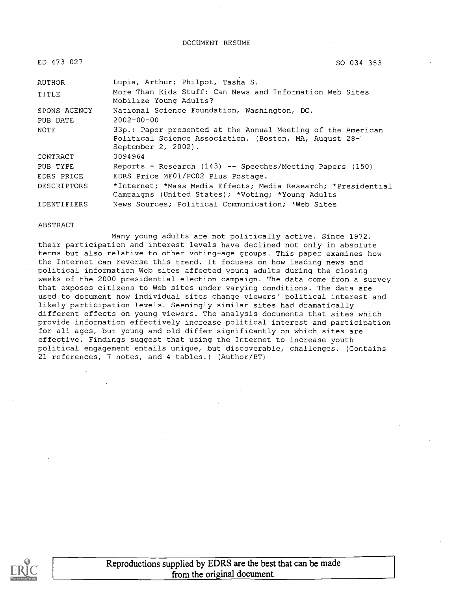DOCUMENT RESUME

| ED 473 027   | SO 034 353<br>$\lambda$                                                                                                                      |
|--------------|----------------------------------------------------------------------------------------------------------------------------------------------|
| AUTHOR       | Lupia, Arthur; Philpot, Tasha S.                                                                                                             |
| TITLE        | More Than Kids Stuff: Can News and Information Web Sites<br>Mobilize Young Adults?                                                           |
| SPONS AGENCY | National Science Foundation, Washington, DC.                                                                                                 |
| PUB DATE     | $2002 - 00 - 00$                                                                                                                             |
| NOTE         | 33p.; Paper presented at the Annual Meeting of the American<br>Political Science Association. (Boston, MA, August 28-<br>September 2, 2002). |
| CONTRACT     | 0094964                                                                                                                                      |
| PUB TYPE     | Reports - Research (143) -- Speeches/Meeting Papers (150)                                                                                    |
| EDRS PRICE   | EDRS Price MF01/PC02 Plus Postage.                                                                                                           |
| DESCRIPTORS  | *Internet; *Mass Media Effects; Media Research; *Presidential<br>Campaigns (United States); *Voting; *Young Adults                           |

IDENTIFIERS News Sources; Political Communication; \*Web Sites

#### ABSTRACT

Many young adults are not politically active. Since 1972, their participation and interest levels have declined not only in absolute terms but also relative to other voting-age groups. This paper examines how the Internet can reverse this trend. It focuses on how leading news and political information Web sites affected young adults during the closing weeks of the 2000 presidential election campaign. The data come from a survey that exposes citizens to Web sites under varying conditions. The data are used to document how individual sites change viewers' political interest and likely participation levels. Seemingly similar sites had dramatically different effects on young viewers. The analysis documents that sites which provide information effectively increase political interest and participation for all ages, but young and old differ significantly on which sites are effective. Findings suggest that using the Internet to increase youth political engagement entails unique, but discoverable, challenges. (Contains 21 references, 7 notes, and 4 tables.) (Author/BT)

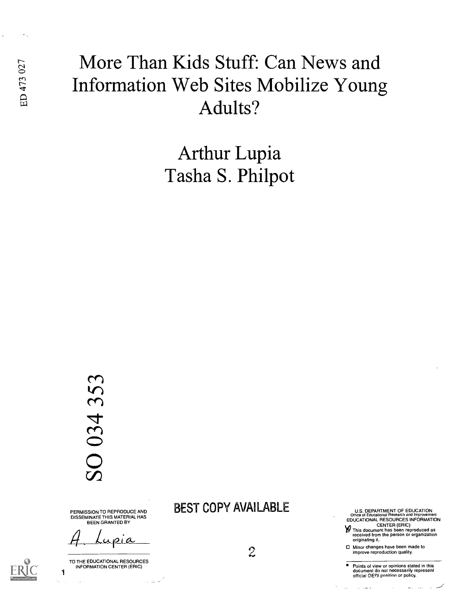## More Than Kids Stuff: Can News and<br>  $\frac{5}{4}$  Information Web Sites Mobilize Young Information Web Sites Mobilize Young Adults?

Arthur Lupia Tasha S. Philpot

# 034 353  $\overline{\mathrm{O}}$

PERMISSION TO REPRODUCE AND DISSEMINATE THIS MATERIAL HAS BEEN GRANTED BY

م.<br>اسماعية

TO THE EDUCATIONAL RESOURCES INFORMATION CENTER (ERIC)

1

## BEST COPY AVAILABLE

 $2<sup>2</sup>$ 

U.S. DEPARTMENT OF EDUCATION Office of Educational Research and Improvement EDUCATIONAL RESOURCES INFORMATION

CENTER (ERIC) This document has been reproduced as received from the person or organization originating it.

Minor changes have been made to improve reproduction quality.

Points of view or opinions stated in this document do not necessarily represent official OERI position or policy.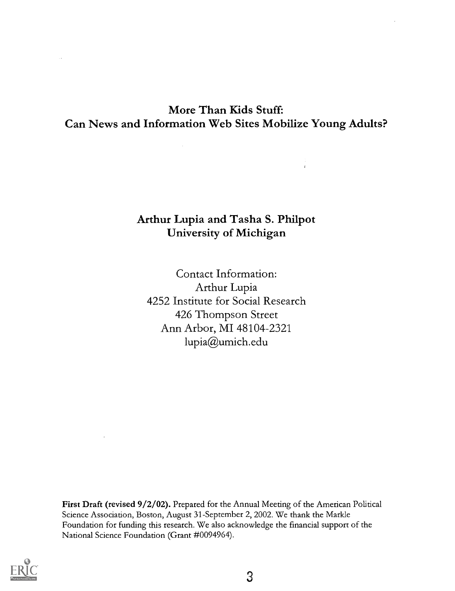## More Than Kids Stuff: Can News and Information Web Sites Mobilize Young Adults?

### Arthur Lupia and Tasha S. Philpot University of Michigan

Contact Information: Arthur Lupia 4252 Institute for Social Research 426 Thompson Street Ann Arbor, MI 48104-2321 lupia@umich.edu

First Draft (revised 9/2/02). Prepared for the Annual Meeting of the American Political Science Association, Boston, August 31-September 2, 2002. We thank the Markle Foundation for funding this research. We also acknowledge the financial support of the National Science Foundation (Grant #0094964).

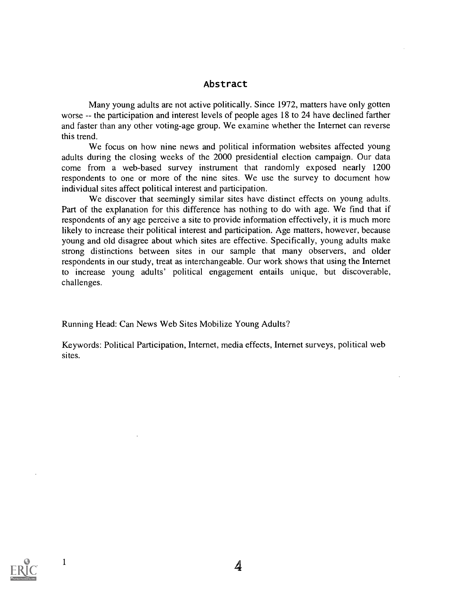#### Abstract

Many young adults are not active politically. Since 1972, matters have only gotten worse -- the participation and interest levels of people ages 18 to 24 have declined farther and faster than any other voting-age group. We examine whether the Internet can reverse this trend.

We focus on how nine news and political information websites affected young adults during the closing weeks of the 2000 presidential election campaign. Our data come from a web-based survey instrument that randomly exposed nearly 1200 respondents to one or more of the nine sites. We use the survey to document how individual sites affect political interest and participation.

We discover that seemingly similar sites have distinct effects on young adults. Part of the explanation for this difference has nothing to do with age. We find that if respondents of any age perceive a site to provide information effectively, it is much more likely to increase their political interest and participation. Age matters, however, because young and old disagree about which sites are effective. Specifically, young adults make strong distinctions between sites in our sample that many observers, and older respondents in our study, treat as interchangeable. Our work shows that using the Internet to increase young adults' political engagement entails unique, but discoverable, challenges.

Running Head: Can News Web Sites Mobilize Young Adults?

Keywords: Political Participation, Internet, media effects, Internet surveys, political web sites.

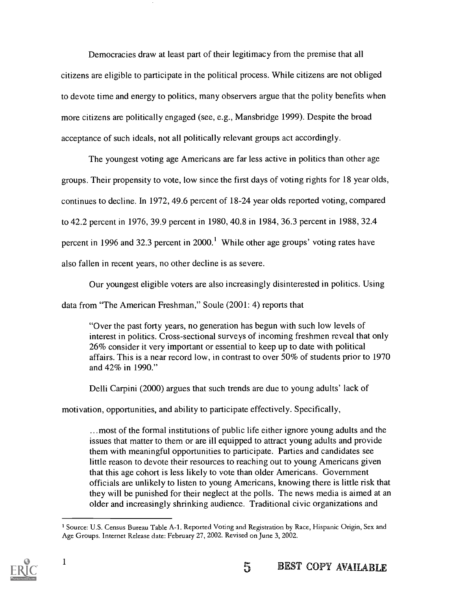Democracies draw at least part of their legitimacy from the premise that all citizens are eligible to participate in the political process. While citizens are not obliged to devote time and energy to politics, many observers argue that the polity benefits when more citizens are politically engaged (see, e.g., Mansbridge 1999). Despite the broad acceptance of such ideals, not all politically relevant groups act accordingly.

The youngest voting age Americans are far less active in politics than other age groups. Their propensity to vote, low since the first days of voting rights for 18 year olds, continues to decline. In 1972, 49.6 percent of 18-24 year olds reported voting, compared to 42.2 percent in 1976, 39.9 percent in 1980, 40.8 in 1984, 36.3 percent in 1988, 32.4 percent in 1996 and 32.3 percent in 2000.' While other age groups' voting rates have also fallen in recent years, no other decline is as severe.

Our youngest eligible voters are also increasingly disinterested in politics. Using

data from "The American Freshman," Soule (2001: 4) reports that

"Over the past forty years, no generation has begun with such low levels of interest in politics. Cross-sectional surveys of incoming freshmen reveal that only 26% consider it very important or essential to keep up to date with political affairs. This is a near record low, in contrast to over 50% of students prior to 1970 and 42% in 1990."

Delli Carpini (2000) argues that such trends are due to young adults' lack of

motivation, opportunities, and ability to participate effectively. Specifically,

...most of the formal institutions of public life either ignore young adults and the issues that matter to them or are ill equipped to attract young adults and provide them with meaningful opportunities to participate. Parties and candidates see little reason to devote their resources to reaching out to young Americans given that this age cohort is less likely to vote than older Americans. Government officials are unlikely to listen to young Americans, knowing there is little risk that they will be punished for their neglect at the polls. The news media is aimed at an older and increasingly shrinking audience. Traditional civic organizations and

<sup>&</sup>lt;sup>1</sup> Source: U.S. Census Bureau Table A-1. Reported Voting and Registration by Race, Hispanic Origin, Sex and Age Groups. Internet Release date: February 27, 2002. Revised on June 3, 2002.

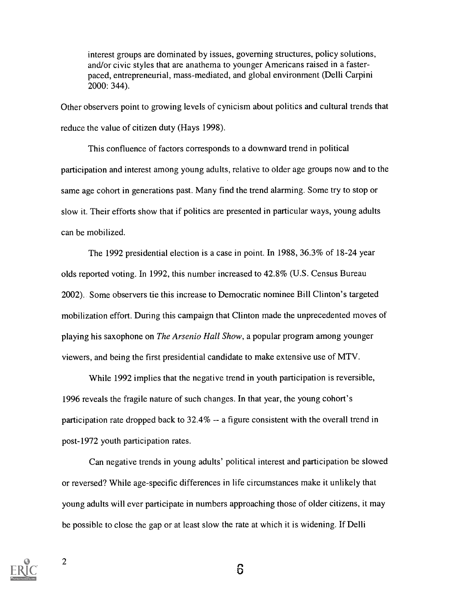interest groups are dominated by issues, governing structures, policy solutions, and/or civic styles that are anathema to younger Americans raised in a fasterpaced, entrepreneurial, mass-mediated, and global environment ( Delli Carpini 2000: 344).

Other observers point to growing levels of cynicism about politics and cultural trends that reduce the value of citizen duty (Hays 1998).

This confluence of factors corresponds to a downward trend in political participation and interest among young adults, relative to older age groups now and to the same age cohort in generations past. Many find the trend alarming. Some try to stop or slow it. Their efforts show that if politics are presented in particular ways, young adults can be mobilized.

The 1992 presidential election is a case in point. In 1988, 36.3% of 18-24 year olds reported voting. In 1992, this number increased to 42.8% (U.S. Census Bureau 2002). Some observers tie this increase to Democratic nominee Bill Clinton's targeted mobilization effort. During this campaign that Clinton made the unprecedented moves of playing his saxophone on The Arsenio Hall Show, a popular program among younger viewers, and being the first presidential candidate to make extensive use of MTV.

While 1992 implies that the negative trend in youth participation is reversible, 1996 reveals the fragile nature of such changes. In that year, the young cohort's participation rate dropped back to  $32.4\%$  -- a figure consistent with the overall trend in post-1972 youth participation rates.

Can negative trends in young adults' political interest and participation be slowed or reversed? While age-specific differences in life circumstances make it unlikely that young adults will ever participate in numbers approaching those of older citizens, it may be possible to close the gap or at least slow the rate at which it is widening. If Delli



2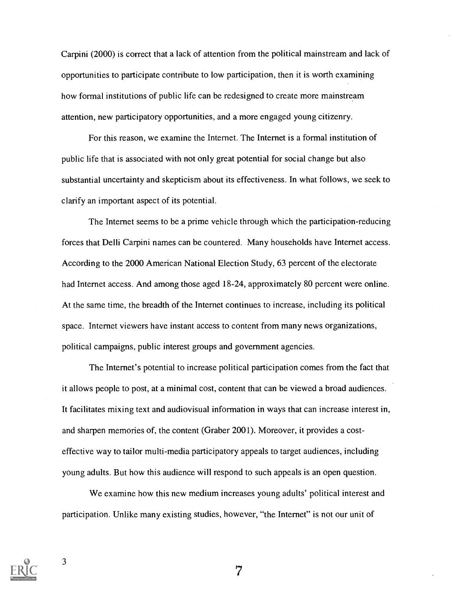Carpini (2000) is correct that a lack of attention from the political mainstream and lack of opportunities to participate contribute to low participation, then it is worth examining how formal institutions of public life can be redesigned to create more mainstream attention, new participatory opportunities, and a more engaged young citizenry.

For this reason, we examine the Internet. The Internet is a formal institution of public life that is associated with not only great potential for social change but also substantial uncertainty and skepticism about its effectiveness. In what follows, we seek to clarify an important aspect of its potential.

The Internet seems to be a prime vehicle through which the participation-reducing forces that Delli Carpini names can be countered. Many households have Internet access. According to the 2000 American National Election Study, 63 percent of the electorate had Internet access. And among those aged 18-24, approximately 80 percent were online. At the same time, the breadth of the Internet continues to increase, including its political space. Internet viewers have instant access to content from many news organizations, political campaigns, public interest groups and government agencies.

The Internet's potential to increase political participation comes from the fact that it allows people to post, at a minimal cost, content that can be viewed a broad audiences. It facilitates mixing text and audiovisual information in ways that can increase interest in, and sharpen memories of, the content (Graber 2001). Moreover, it provides a costeffective way to tailor multi-media participatory appeals to target audiences, including young adults. But how this audience will respond to such appeals is an open question.

We examine how this new medium increases young adults' political interest and participation. Unlike many existing studies, however, "the Internet" is not our unit of

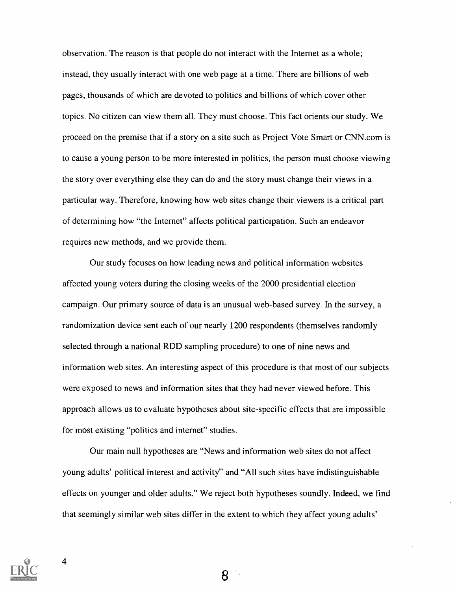observation. The reason is that people do not interact with the Internet as a whole; instead, they usually interact with one web page at a time. There are billions of web pages, thousands of which are devoted to politics and billions of which cover other topics. No citizen can view them all. They must choose. This fact orients our study. We proceed on the premise that if a story on a site such as Project Vote Smart or CNN.com is to cause a young person to be more interested in politics, the person must choose viewing the story over everything else they can do and the story must change their views in a particular way. Therefore, knowing how web sites change their viewers is a critical part of determining how "the Internet" affects political participation. Such an endeavor requires new methods, and we provide them.

Our study focuses on how leading news and political information websites affected young voters during the closing weeks of the 2000 presidential election campaign. Our primary source of data is an unusual web-based survey. In the survey, a randomization device sent each of our nearly 1200 respondents (themselves randomly selected through a national RDD sampling procedure) to one of nine news and information web sites. An interesting aspect of this procedure is that most of our subjects were exposed to news and information sites that they had never viewed before. This approach allows us to evaluate hypotheses about site-specific effects that are impossible for most existing "politics and internet" studies.

Our main null hypotheses are "News and information web sites do not affect young adults' political interest and activity" and "All such sites have indistinguishable effects on younger and older adults." We reject both hypotheses soundly. Indeed, we find that seemingly similar web sites differ in the extent to which they affect young adults'

8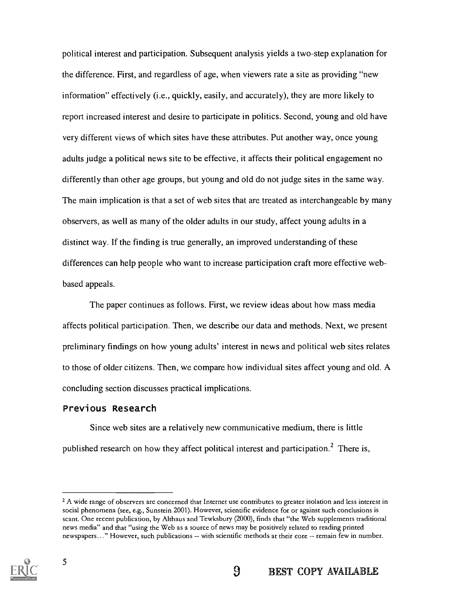political interest and participation. Subsequent analysis yields a two-step explanation for the difference. First, and regardless of age, when viewers rate a site as providing "new information" effectively (i.e., quickly, easily, and accurately), they are more likely to report increased interest and desire to participate in politics. Second, young and old have very different views of which sites have these attributes. Put another way, once young adults judge a political news site to be effective, it affects their political engagement no differently than other age groups, but young and old do not judge sites in the same way. The main implication is that a set of web sites that are treated as interchangeable by many observers, as well as many of the older adults in our study, affect young adults in a distinct way. If the finding is true generally, an improved understanding of these differences can help people who want to increase participation craft more effective webbased appeals.

The paper continues as follows. First, we review ideas about how mass media affects political participation. Then, we describe our data and methods. Next, we present preliminary findings on how young adults' interest in news and political web sites relates to those of older citizens. Then, we compare how individual sites affect young and old. A concluding section discusses practical implications.

#### Previous Research

Since web sites are a relatively new communicative medium, there is little published research on how they affect political interest and participation.<sup>2</sup> There is,

<sup>&</sup>lt;sup>2</sup> A wide range of observers are concerned that Internet use contributes to greater isolation and less interest in social phenomena (see, e.g., Sunstein 2001). However, scientific evidence for or against such conclusions is scant. One recent publication, by Althaus and Tewksbury (2000), finds that "the Web supplements traditional news media" and that "using the Web as a source of news may be positively related to reading printed newspapers..." However, such publications -- with scientific methods at their core -- remain few in number.

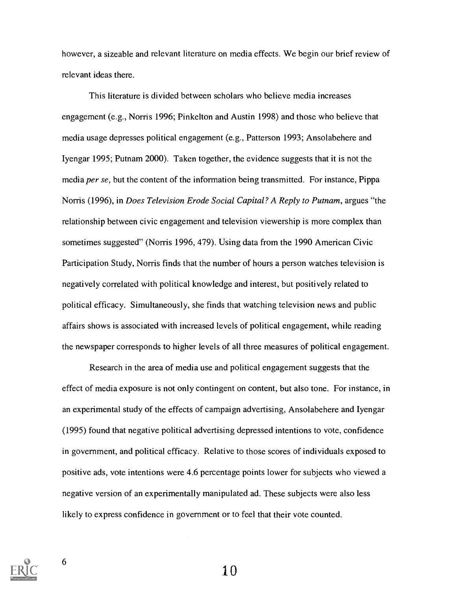however, a sizeable and relevant literature on media effects. We begin our brief review of relevant ideas there.

This literature is divided between scholars who believe media increases engagement (e.g., Norris 1996; Pinkelton and Austin 1998) and those who believe that media usage depresses political engagement (e.g., Patterson 1993; Ansolabehere and Iyengar 1995; Putnam 2000). Taken together, the evidence suggests that it is not the media per se, but the content of the information being transmitted. For instance, Pippa Norris (1996), in Does Television Erode Social Capital? A Reply to Putnam, argues "the relationship between civic engagement and television viewership is more complex than sometimes suggested" (Norris 1996, 479). Using data from the 1990 American Civic Participation Study, Norris finds that the number of hours a person watches television is negatively correlated with political knowledge and interest, but positively related to political efficacy. Simultaneously, she finds that watching television news and public affairs shows is associated with increased levels of political engagement, while reading the newspaper corresponds to higher levels of all three measures of political engagement.

Research in the area of media use and political engagement suggests that the effect of media exposure is not only contingent on content, but also tone. For instance, in an experimental study of the effects of campaign advertising, Ansolabehere and Iyengar (1995) found that negative political advertising depressed intentions to vote, confidence in government, and political efficacy. Relative to those scores of individuals exposed to positive ads, vote intentions were 4.6 percentage points lower for subjects who viewed a negative version of an experimentally manipulated ad. These subjects were also less likely to express confidence in government or to feel that their vote counted.

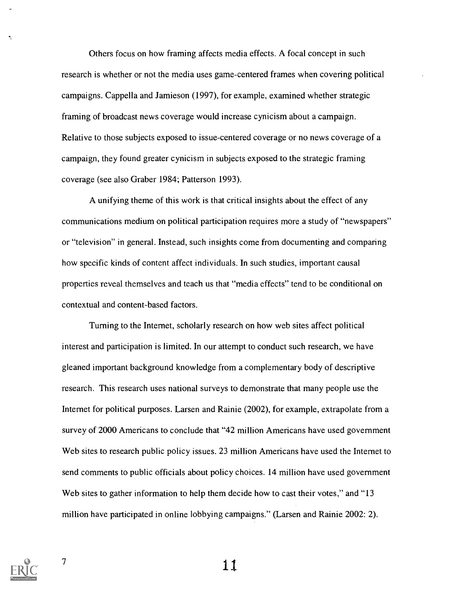Others focus on how framing affects media effects. A focal concept in such research is whether or not the media uses game-centered frames when covering political campaigns. Cappella and Jamieson (1997), for example, examined whether strategic framing of broadcast news coverage would increase cynicism about a campaign. Relative to those subjects exposed to issue-centered coverage or no news coverage of a campaign, they found greater cynicism in subjects exposed to the strategic framing coverage (see also Graber 1984; Patterson 1993).

A unifying theme of this work is that critical insights about the effect of any communications medium on political participation requires more a study of "newspapers" or "television" in general. Instead, such insights come from documenting and comparing how specific kinds of content affect individuals. In such studies, important causal properties reveal themselves and teach us that "media effects" tend to be conditional on contextual and content-based factors.

Turning to the Internet, scholarly research on how web sites affect political interest and participation is limited. In our attempt to conduct such research, we have gleaned important background knowledge from a complementary body of descriptive research. This research uses national surveys to demonstrate that many people use the Internet for political purposes. Larsen and Rainie (2002), for example, extrapolate from a survey of 2000 Americans to conclude that "42 million Americans have used government Web sites to research public policy issues. 23 million Americans have used the Internet to send comments to public officials about policy choices. 14 million have used government Web sites to gather information to help them decide how to cast their votes," and "13 million have participated in online lobbying campaigns." (Larsen and Rainie 2002: 2).



 $\overline{\mathcal{L}}$ 

 $\frac{7}{11}$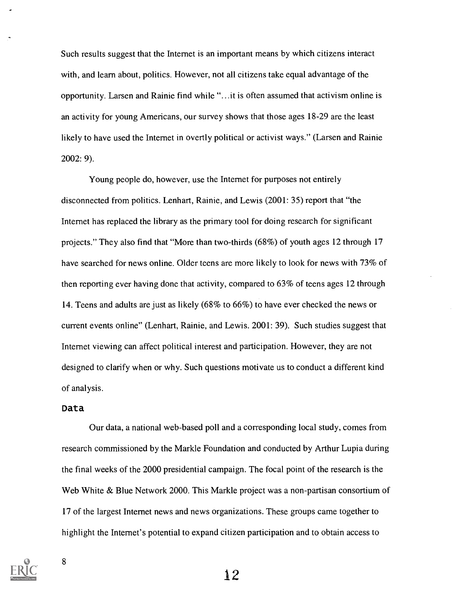Such results suggest that the Internet is an important means by which citizens interact with, and learn about, politics. However, not all citizens take equal advantage of the opportunity. Larsen and Rainie find while "...it is often assumed that activism online is an activity for young Americans, our survey shows that those ages 18-29 are the least likely to have used the Internet in overtly political or activist ways." (Larsen and Rainie 2002: 9).

Young people do, however, use the Internet for purposes not entirely disconnected from politics. Lenhart, Rainie, and Lewis (2001: 35) report that "the Internet has replaced the library as the primary tool for doing research for significant projects." They also find that "More than two-thirds (68%) of youth ages 12 through 17 have searched for news online. Older teens are more likely to look for news with 73% of then reporting ever having done that activity, compared to 63% of teens ages 12 through 14. Teens and adults are just as likely (68% to 66%) to have ever checked the news or current events online" (Lenhart, Rainie, and Lewis. 2001: 39). Such studies suggest that Internet viewing can affect political interest and participation. However, they are not designed to clarify when or why. Such questions motivate us to conduct a different kind of analysis.

#### Data

Our data, a national web-based poll and a corresponding local study, comes from research commissioned by the Markle Foundation and conducted by Arthur Lupia during the final weeks of the 2000 presidential campaign. The focal point of the research is the Web White & Blue Network 2000. This Markle project was a non-partisan consortium of 17 of the largest Internet news and news organizations. These groups came together to highlight the Internet's potential to expand citizen participation and to obtain access to

8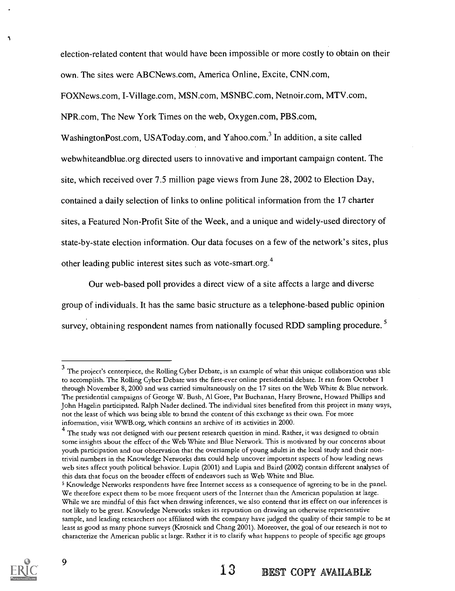election-related content that would have been impossible or more costly to obtain on their own. The sites were ABCNews.com, America Online, Excite, CNN.com,

FOXNews.com, I-Village.com, MSN.com, MSNBC.com, Netnoir.com, MTV.com,

NPR.com, The New York Times on the web, Oxygen.com, PBS.com,

WashingtonPost.com, USAToday.com, and Yahoo.com.<sup>3</sup> In addition, a site called webwhiteandblue.org directed users to innovative and important campaign content. The site, which received over 7.5 million page views from June 28, 2002 to Election Day, contained a daily selection of links to online political information from the 17 charter sites, a Featured Non-Profit Site of the Week, and a unique and widely-used directory of state-by-state election information. Our data focuses on a few of the network's sites, plus other leading public interest sites such as vote-smart.org.4

Our web-based poll provides a direct view of a site affects a large and diverse group of individuals. It has the same basic structure as a telephone-based public opinion survey, obtaining respondent names from nationally focused RDD sampling procedure.<sup>5</sup>

<sup>&</sup>lt;sup>3</sup> The project's centerpiece, the Rolling Cyber Debate, is an example of what this unique collaboration was able to accomplish. The Rolling Cyber Debate was the first-ever online presidential debate. It ran from October 1 through November 8, 2000 and was carried simultaneously on the 17 sites on the Web White & Blue network. The presidential campaigns of George W. Bush, Al Gore, Pat Buchanan, Harry Browne, Howard Phillips and John Hagelin participated. Ralph Nader declined. The individual sites benefited from this project in many ways, not the least of which was being able to brand the content of this exchange as their own. For more information, visit WWB.org, which contains an archive of its activities in 2000.

<sup>&</sup>lt;sup>4</sup> The study was not designed with our present research question in mind. Rather, it was designed to obtain some insights about the effect of the Web White and Blue Network. This is motivated by our concerns about youth participation and our observation that the oversample of young adults in the local study and their nontrivial numbers in the Knowledge Networks data could help uncover important aspects of how leading news web sites affect youth political behavior. Lupia (2001) and Lupia and Baird (2002) contain different analyses of this data that focus on the broader effects of endeavors such as Web White and Blue.

<sup>5</sup> Knowledge Networks respondents have free Internet access as a consequence of agreeing to be in the panel. We therefore expect them to be more frequent users of the Internet than the American population at large. While we are mindful of this fact when drawing inferences, we also contend that its effect on our inferences is not likely to be great. Knowledge Networks stakes its reputation on drawing an otherwise representative sample, and leading researchers not affiliated with the company have judged the quality of their sample to be at least as good as many phone surveys (Krosnick and Chang 2001). Moreover, the goal of our research is not to characterize the American public at large. Rather it is to clarify what happens to people of specific age groups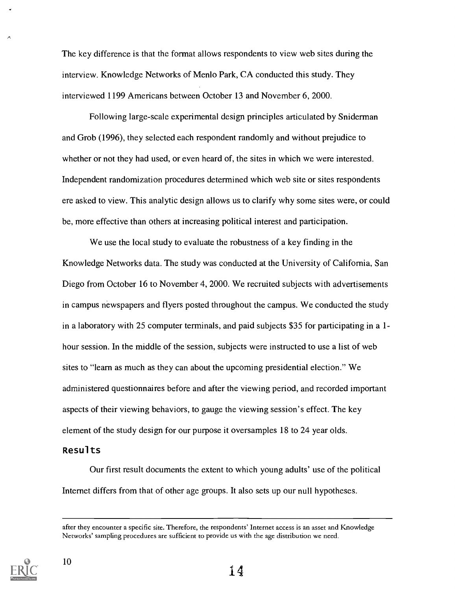The key difference is that the format allows respondents to view web sites during the interview. Knowledge Networks of Menlo Park, CA conducted this study. They interviewed 1199 Americans between October 13 and November 6, 2000.

Following large-scale experimental design principles articulated by Sniderman and Grob (1996), they selected each respondent randomly and without prejudice to whether or not they had used, or even heard of, the sites in which we were interested. Independent randomization procedures determined which web site or sites respondents ere asked to view. This analytic design allows us to clarify why some sites were, or could be, more effective than others at increasing political interest and participation.

We use the local study to evaluate the robustness of a key finding in the Knowledge Networks data. The study was conducted at the University of California, San Diego from October 16 to November 4, 2000. We recruited subjects with advertisements in campus newspapers and flyers posted throughout the campus. We conducted the study in a laboratory with 25 computer terminals, and paid subjects \$35 for participating in a 1 hour session. In the middle of the session, subjects were instructed to use a list of web sites to "learn as much as they can about the upcoming presidential election." We administered questionnaires before and after the viewing period, and recorded important aspects of their viewing behaviors, to gauge the viewing session's effect. The key element of the study design for our purpose it oversamples 18 to 24 year olds.

#### Results

Our first result documents the extent to which young adults' use of the political Internet differs from that of other age groups. It also sets up our null hypotheses.

after they encounter a specific site. Therefore, the respondents' Internet access is an asset and Knowledge Networks' sampling procedures are sufficient to provide us with the age distribution we need.

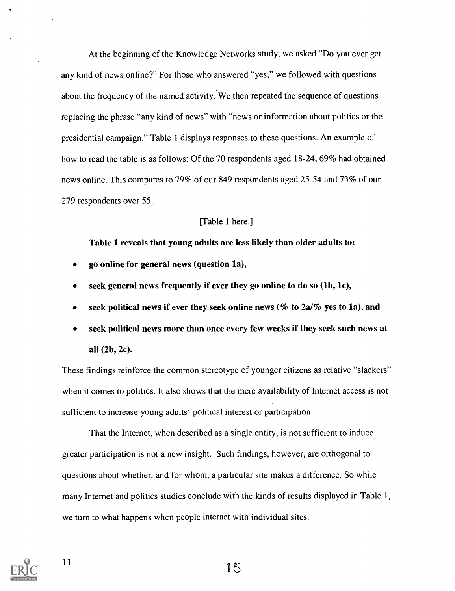At the beginning of the Knowledge Networks study, we asked "Do you ever get any kind of news online?" For those who answered "yes," we followed with questions about the frequency of the named activity. We then repeated the sequence of questions replacing the phrase "any kind of news" with "news or information about politics or the presidential campaign." Table 1 displays responses to these questions. An example of how to read the table is as follows: Of the 70 respondents aged 18-24, 69% had obtained news online. This compares to 79% of our 849 respondents aged 25-54 and 73% of our 279 respondents over 55.

#### [Table 1 here.]

Table 1 reveals that young adults are less likely than older adults to:

- go online for general news (question la),
- seek general news frequently if ever they go online to do so (lb, 1c),
- seek political news if ever they seek online news (% to  $2a/\%$  yes to 1a), and
- seek political news more than once every few weeks if they seek such news at all (2b, 2c).

These findings reinforce the common stereotype of younger citizens as relative "slackers" when it comes to politics. It also shows that the mere availability of Internet access is not sufficient to increase young adults' political interest or participation.

That the Internet, when described as a single entity, is not sufficient to induce greater participation is not a new insight. Such findings, however, are orthogonal to questions about whether, and for whom, a particular site makes a difference. So while many Internet and politics studies conclude with the kinds of results displayed in Table 1, we turn to what happens when people interact with individual sites.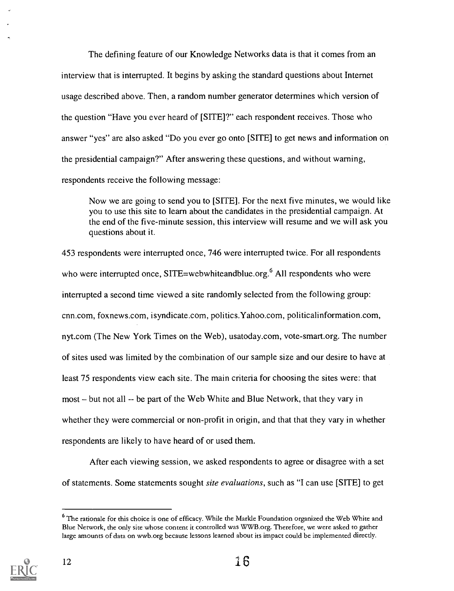The defining feature of our Knowledge Networks data is that it comes from an interview that is interrupted. It begins by asking the standard questions about Internet usage described above. Then, a random number generator determines which version of the question "Have you ever heard of [SITE]?" each respondent receives. Those who answer "yes" are also asked "Do you ever go onto [STYE] to get news and information on the presidential campaign?" After answering these questions, and without warning, respondents receive the following message:

Now we are going to send you to [SITE]. For the next five minutes, we would like you to use this site to learn about the candidates in the presidential campaign. At the end of the five-minute session, this interview will resume and we will ask you questions about it.

453 respondents were interrupted once, 746 were interrupted twice. For all respondents who were interrupted once, SITE=webwhiteandblue.org.<sup>6</sup> All respondents who were interrupted a second time viewed a site randomly selected from the following group: cnn.com, foxnews.com, isyndicate.com, politics.Yahoo.com, politicalinformation.com, nyt.com (The New York Times on the Web), usatoday.com, vote-smart.org. The number of sites used was limited by the combination of our sample size and our desire to have at least 75 respondents view each site. The main criteria for choosing the sites were: that most – but not all -- be part of the Web White and Blue Network, that they vary in whether they were commercial or non-profit in origin, and that that they vary in whether respondents are likely to have heard of or used them.

After each viewing session, we asked respondents to agree or disagree with a set of statements. Some statements sought site evaluations, such as "I can use [SITE] to get

<sup>&</sup>lt;sup>6</sup> The rationale for this choice is one of efficacy. While the Markle Foundation organized the Web White and Blue Network, the only site whose content it controlled was WWB.org. Therefore, we were asked to gather large amounts of data on wwb.org because lessons learned about its impact could be implemented directly.

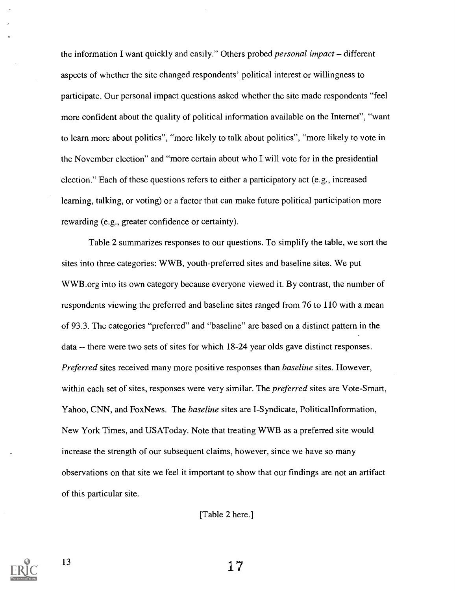the information I want quickly and easily." Others probed *personal impact* – different aspects of whether the site changed respondents' political interest or willingness to participate. Our personal impact questions asked whether the site made respondents "feel more confident about the quality of political information available on the Internet", "want to learn more about politics", "more likely to talk about politics", "more likely to vote in the November election" and "more certain about who I will vote for in the presidential election." Each of these questions refers to either a participatory act (e.g., increased learning, talking, or voting) or a factor that can make future political participation more rewarding (e.g., greater confidence or certainty).

Table 2 summarizes responses to our questions. To simplify the table, we sort the sites into three categories: WWB, youth-preferred sites and baseline sites. We put WWB.org into its own category because everyone viewed it. By contrast, the number of respondents viewing the preferred and baseline sites ranged from 76 to 110 with a mean of 93.3. The categories "preferred" and "baseline" are based on a distinct pattern in the data -- there were two sets of sites for which 18-24 year olds gave distinct responses. Preferred sites received many more positive responses than *baseline* sites. However, within each set of sites, responses were very similar. The *preferred* sites are Vote-Smart, Yahoo, CNN, and FoxNews. The *baseline* sites are I-Syndicate, Political Information, New York Times, and USAToday. Note that treating WWB as a preferred site would increase the strength of our subsequent claims, however, since we have so many observations on that site we feel it important to show that our findings are not an artifact of this particular site.

[Table 2 here.]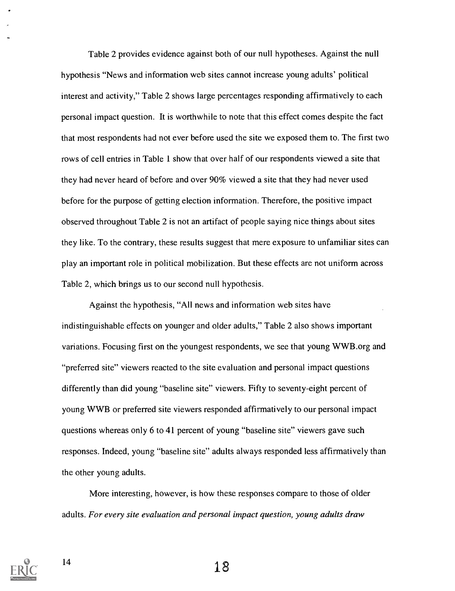Table 2 provides evidence against both of our null hypotheses. Against the null hypothesis "News and information web sites cannot increase young adults' political interest and activity," Table 2 shows large percentages responding affirmatively to each personal impact question. It is worthwhile to note that this effect comes despite the fact that most respondents had not ever before used the site we exposed them to. The first two rows of cell entries in Table 1 show that over half of our respondents viewed a site that they had never heard of before and over 90% viewed a site that they had never used before for the purpose of getting election information. Therefore, the positive impact observed throughout Table 2 is not an artifact of people saying nice things about sites they like. To the contrary, these results suggest that mere exposure to unfamiliar sites can play an important role in political mobilization. But these effects are not uniform across Table 2, which brings us to our second null hypothesis.

Against the hypothesis, "All news and information web sites have indistinguishable effects on younger and older adults," Table 2 also shows important variations. Focusing first on the youngest respondents, we see that young WWB.org and "preferred site" viewers reacted to the site evaluation and personal impact questions differently than did young "baseline site" viewers. Fifty to seventy-eight percent of young WWB or preferred site viewers responded affirmatively to our personal impact questions whereas only 6 to 41 percent of young "baseline site" viewers gave such responses. Indeed, young "baseline site" adults always responded less affirmatively than the other young adults.

More interesting, however, is how these responses compare to those of older adults. For every site evaluation and personal impact question, young adults draw

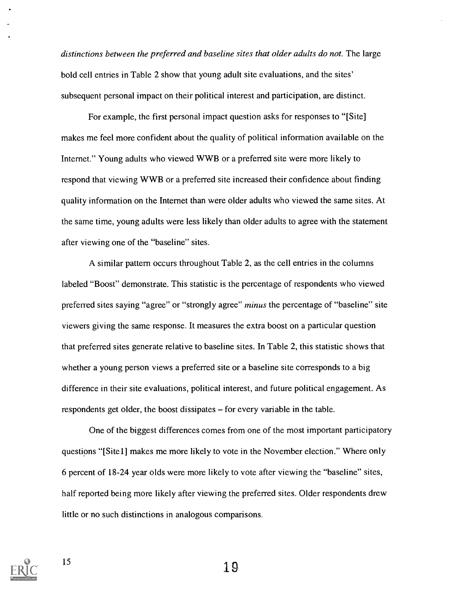distinctions between the preferred and baseline sites that older adults do not. The large bold cell entries in Table 2 show that young adult site evaluations, and the sites' subsequent personal impact on their political interest and participation, are distinct.

For example, the first personal impact question asks for responses to "[Site] makes me feel more confident about the quality of political information available on the Internet." Young adults who viewed WWB or a preferred site were more likely to respond that viewing WWB or a preferred site increased their confidence about finding quality information on the Internet than were older adults who viewed the same sites. At the same time, young adults were less likely than older adults to agree with the statement after viewing one of the "baseline" sites.

A similar pattern occurs throughout Table 2, as the cell entries in the columns labeled "Boost" demonstrate. This statistic is the percentage of respondents who viewed preferred sites saying "agree" or "strongly agree" minus the percentage of "baseline" site viewers giving the same response. It measures the extra boost on a particular question that preferred sites generate relative to baseline sites. In Table 2, this statistic shows that whether a young person views a preferred site or a baseline site corresponds to a big difference in their site evaluations, political interest, and future political engagement. As respondents get older, the boost dissipates - for every variable in the table.

One of the biggest differences comes from one of the most important participatory questions "[Site1] makes me more likely to vote in the November election." Where only 6 percent of 18-24 year olds were more likely to vote after viewing the "baseline" sites, half reported being more likely after viewing the preferred sites. Older respondents drew little or no such distinctions in analogous comparisons.

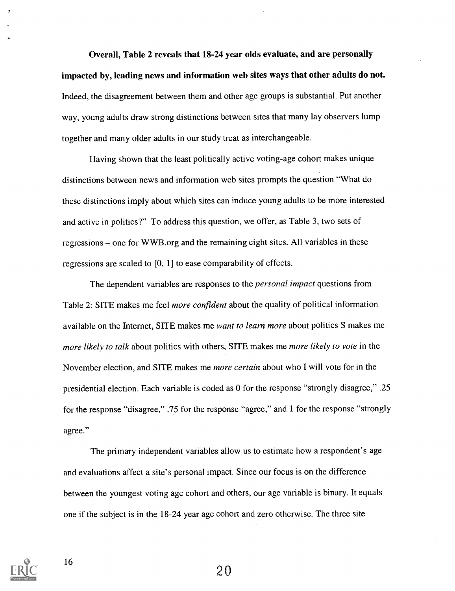Overall, Table 2 reveals that 18-24 year olds evaluate, and are personally impacted by, leading news and information web sites ways that other adults do not. Indeed, the disagreement between them and other age groups is substantial. Put another way, young adults draw strong distinctions between sites that many lay observers lump together and many older adults in our study treat as interchangeable.

Having shown that the least politically active voting-age cohort makes unique distinctions between news and information web sites prompts the question "What do these distinctions imply about which sites can induce young adults to be more interested and active in politics?" To address this question, we offer, as Table 3, two sets of regressions – one for WWB.org and the remaining eight sites. All variables in these regressions are scaled to [0, 1] to ease comparability of effects.

The dependent variables are responses to the *personal impact* questions from Table 2: SITE makes me feel *more confident* about the quality of political information available on the Internet, SITE makes me want to learn more about politics S makes me more likely to talk about politics with others, SITE makes me more likely to vote in the November election, and SITE makes me *more certain* about who I will vote for in the presidential election. Each variable is coded as 0 for the response "strongly disagree," .25 for the response "disagree," .75 for the response "agree," and 1 for the response "strongly agree."

The primary independent variables allow us to estimate how a respondent's age and evaluations affect a site's personal impact. Since our focus is on the difference between the youngest voting age cohort and others, our age variable is binary. It equals one if the subject is in the 18-24 year age cohort and zero otherwise. The three site

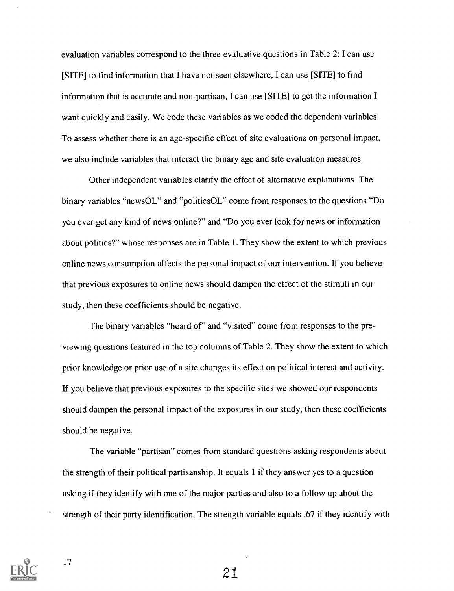evaluation variables correspond to the three evaluative questions in Table 2: I can use [SITE] to find information that I have not seen elsewhere, I can use [SITE] to find information that is accurate and non-partisan, I can use [SITE] to get the information I want quickly and easily. We code these variables as we coded the dependent variables. To assess whether there is an age-specific effect of site evaluations on personal impact, we also include variables that interact the binary age and site evaluation measures.

Other independent variables clarify the effect of alternative explanations. The binary variables "newsOL" and "politicsOL" come from responses to the questions "Do you ever get any kind of news online?" and "Do you ever look for news or information about politics?" whose responses are in Table 1. They show the extent to which previous online news consumption affects the personal impact of our intervention. If you believe that previous exposures to online news should dampen the effect of the stimuli in our study, then these coefficients should be negative.

The binary variables "heard of" and "visited" come from responses to the previewing questions featured in the top columns of Table 2. They show the extent to which prior knowledge or prior use of a site changes its effect on political interest and activity. If you believe that previous exposures to the specific sites we showed our respondents should dampen the personal impact of the exposures in our study, then these coefficients should be negative.

The variable "partisan" comes from standard questions asking respondents about the strength of their political partisanship. It equals 1 if they answer yes to a question asking if they identify with one of the major parties and also to a follow up about the strength of their party identification. The strength variable equals .67 if they identify with

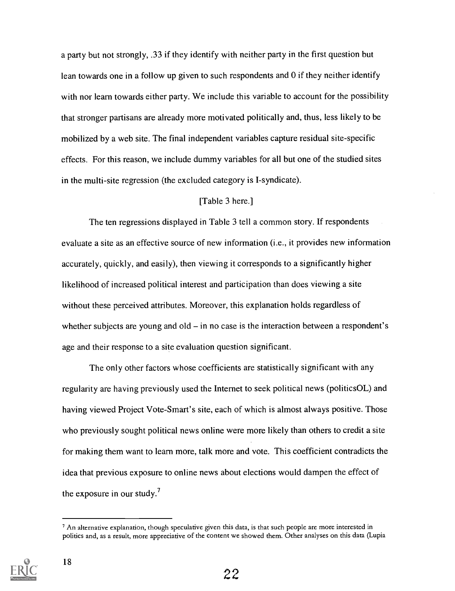a party but not strongly, .33 if they identify with neither party in the first question but lean towards one in a follow up given to such respondents and 0 if they neither identify with nor learn towards either party. We include this variable to account for the possibility that stronger partisans are already more motivated politically and, thus, less likely to be mobilized by a web site. The final independent variables capture residual site-specific effects. For this reason, we include dummy variables for all but one of the studied sites in the multi-site regression (the excluded category is I-syndicate).

#### [Table 3 here.]

The ten regressions displayed in Table 3 tell a common story. If respondents evaluate a site as an effective source of new information (i.e., it provides new information accurately, quickly, and easily), then viewing it corresponds to a significantly higher likelihood of increased political interest and participation than does viewing a site without these perceived attributes. Moreover, this explanation holds regardless of whether subjects are young and old  $-$  in no case is the interaction between a respondent's age and their response to a site evaluation question significant.

The only other factors whose coefficients are statistically significant with any regularity are having previously used the Internet to seek political news (politicsOL) and having viewed Project Vote-Smart's site, each of which is almost always positive. Those who previously sought political news online were more likely than others to credit a site for making them want to learn more, talk more and vote. This coefficient contradicts the idea that previous exposure to online news about elections would dampen the effect of the exposure in our study.<sup>7</sup>

 $<sup>7</sup>$  An alternative explanation, though speculative given this data, is that such people are more interested in</sup> politics and, as a result, more appreciative of the content we showed them. Other analyses on this data (Lupia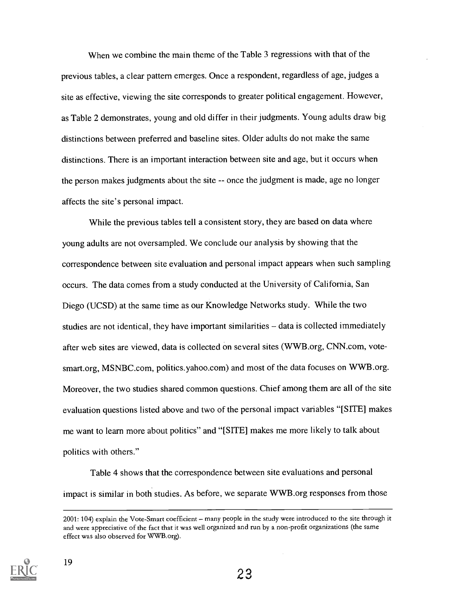When we combine the main theme of the Table 3 regressions with that of the previous tables, a clear pattern emerges. Once a respondent, regardless of age, judges a site as effective, viewing the site corresponds to greater political engagement. However, as Table 2 demonstrates, young and old differ in their judgments. Young adults draw big distinctions between preferred and baseline sites. Older adults do not make the same distinctions. There is an important interaction between site and age, but it occurs when the person makes judgments about the site -- once the judgment is made, age no longer affects the site's personal impact.

While the previous tables tell a consistent story, they are based on data where young adults are not oversampled. We conclude our analysis by showing that the correspondence between site evaluation and personal impact appears when such sampling occurs. The data comes from a study conducted at the University of California, San Diego (UCSD) at the same time as our Knowledge Networks study. While the two studies are not identical, they have important similarities - data is collected immediately after web sites are viewed, data is collected on several sites (WWB.org, CNN.com, votesmart.org, MSNBC.com, politics.yahoo.com) and most of the data focuses on WWB.org. Moreover, the two studies shared common questions. Chief among them are all of the site evaluation questions listed above and two of the personal impact variables "[SITE] makes me want to learn more about politics" and "[SITE] makes me more likely to talk about politics with others."

Table 4 shows that the correspondence between site evaluations and personal impact is similar in both studies. As before, we separate WWB.org responses from those

<sup>2001: 104)</sup> explain the Vote-Smart coefficient - many people in the study were introduced to the site through it and were appreciative of the fact that it was well organized and run by a non-profit organizations (the same effect was also observed for WWB.org).

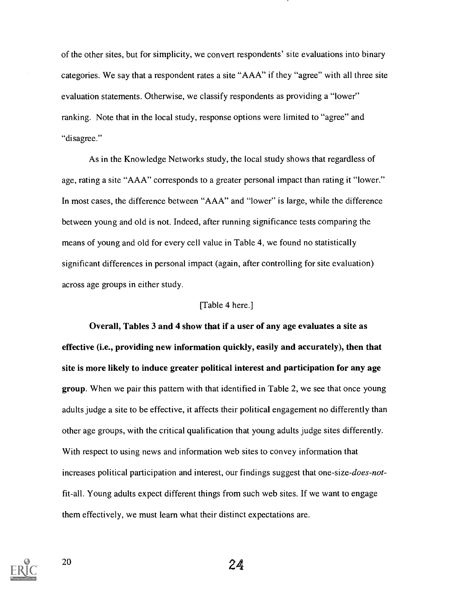of the other sites, but for simplicity, we convert respondents' site evaluations into binary categories. We say that a respondent rates a site "AAA" if they "agree" with all three site evaluation statements. Otherwise, we classify respondents as providing a "lower" ranking. Note that in the local study, response options were limited to "agree" and "disagree."

As in the Knowledge Networks study, the local study shows that regardless of age, rating a site "AAA" corresponds to a greater personal impact than rating it "lower." In most cases, the difference between "AAA" and "lower" is large, while the difference between young and old is not. Indeed, after running significance tests comparing the means of young and old for every cell value in Table 4, we found no statistically significant differences in personal impact (again, after controlling for site evaluation) across age groups in either study.

#### [Table 4 here.]

Overall, Tables 3 and 4 show that if a user of any age evaluates a site as effective (i.e., providing new information quickly, easily and accurately), then that site is more likely to induce greater political interest and participation for any age group. When we pair this pattern with that identified in Table 2, we see that once young adults judge a site to be effective, it affects their political engagement no differently than other age groups, with the critical qualification that young adults judge sites differently. With respect to using news and information web sites to convey information that increases political participation and interest, our findings suggest that one-size-does-notfit-all. Young adults expect different things from such web sites. If we want to engage them effectively, we must learn what their distinct expectations are.

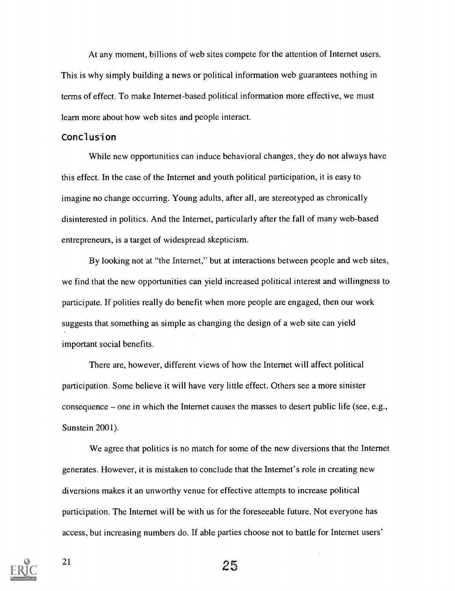At any moment, billions of web sites compete for the attention of Internet users. This is why simply building a news or political information web guarantees nothing in terms of effect. To make Internet-based political information more effective, we must learn more about how web sites and people interact.

#### Conclusion

While new opportunities can induce behavioral changes, they do not always have this effect. In the case of the Internet and youth political participation, it is easy to imagine no change occurring. Young adults, after all, are stereotyped as chronically disinterested in politics. And the Internet, particularly after the fall of many web-based entrepreneurs, is a target of widespread skepticism.

By looking not at "the Internet," but at interactions between people and web sites, we find that the new opportunities can yield increased political interest and willingness to participate. If polities really do benefit when more people are engaged, then our work suggests that something as simple as changing the design of a web site can yield important social benefits.

There are, however, different views of how the Internet will affect political participation. Some believe it will have very little effect. Others see a more sinister consequence  $-$  one in which the Internet causes the masses to desert public life (see, e.g., Sunstein 2001).

We agree that politics is no match for some of the new diversions that the Internet generates. However, it is mistaken to conclude that the Internet's role in creating new diversions makes it an unworthy venue for effective attempts to increase political participation. The Internet will be with us for the foreseeable future. Not everyone has access, but increasing numbers do. If able parties choose not to battle for Internet users'

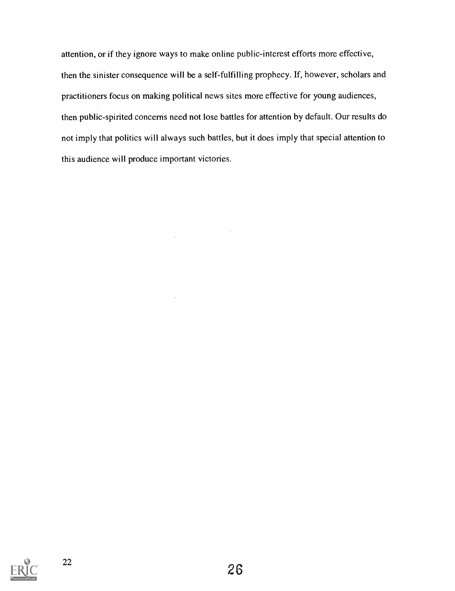attention, or if they ignore ways to make online public-interest efforts more effective, then the sinister consequence will be a self-fulfilling prophecy. If, however, scholars and practitioners focus on making political news sites more effective for young audiences, then public-spirited concerns need not lose battles for attention by default. Our results do not imply that politics will always such battles, but it does imply that special attention to this audience will produce important victories.

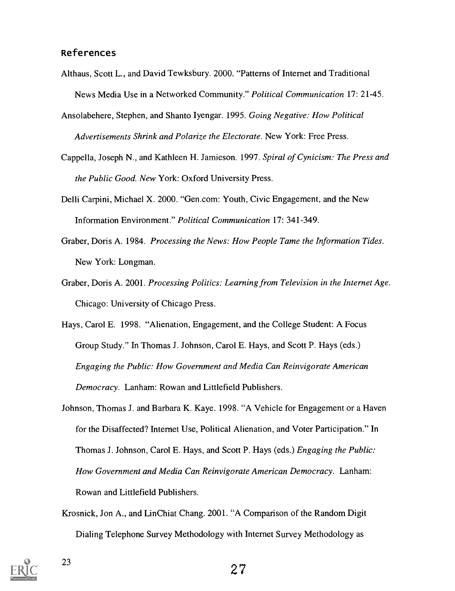#### References

- Althaus, Scott L., and David Tewksbury. 2000. "Patterns of Internet and Traditional News Media Use in a Networked Community." Political Communication 17: 21-45.
- Ansolabehere, Stephen, and Shanto Iyengar. 1995. Going Negative: How Political Advertisements Shrink and Polarize the Electorate. New York: Free Press.
- Cappella, Joseph N., and Kathleen H. Jamieson. 1997. Spiral of Cynicism: The Press and the Public Good. New York: Oxford University Press.
- Delli Carpini, Michael X. 2000. "Gen.com: Youth, Civic Engagement, and the New Information Environment." Political Communication 17: 341-349.
- Graber, Doris A. 1984. Processing the News: How People Tame the Information Tides. New York: Longman.
- Graber, Doris A. 2001. Processing Politics: Learning from Television in the Internet Age. Chicago: University of Chicago Press.
- Hays, Carol E. 1998. "Alienation, Engagement, and the College Student: A Focus Group Study." In Thomas J. Johnson, Carol E. Hays, and Scott P. Hays (eds.) Engaging the Public: How Government and Media Can Reinvigorate American Democracy. Lanham: Rowan and Littlefield Publishers.
- Johnson, Thomas J. and Barbara K. Kaye. 1998. "A Vehicle for Engagement or a Haven for the Disaffected? Internet Use, Political Alienation, and Voter Participation." In Thomas J. Johnson, Carol E. Hays, and Scott P. Hays (eds.) Engaging the Public: How Government and Media Can Reinvigorate American Democracy. Lanham: Rowan and Littlefield Publishers.
- Krosnick, Jon A., and LinChiat Chang. 2001. "A Comparison of the Random Digit Dialing Telephone Survey Methodology with Internet Survey Methodology as

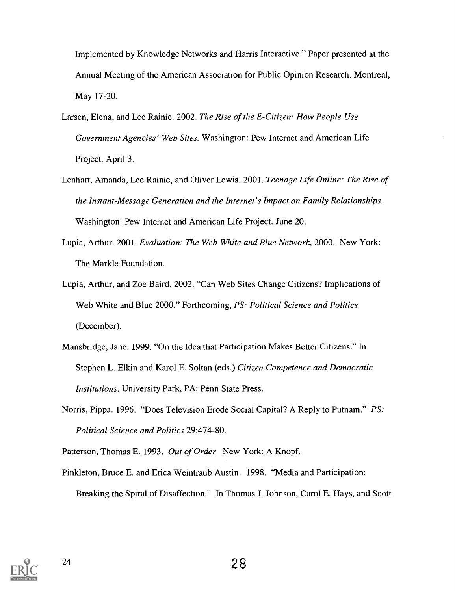Implemented by Knowledge Networks and Harris Interactive." Paper presented at the Annual Meeting of the American Association for Public Opinion Research. Montreal, May 17-20.

- Larsen, Elena, and Lee Rainie. 2002. The Rise of the E-Citizen: How People Use Government Agencies' Web Sites. Washington: Pew Internet and American Life Project. April 3.
- Lenhart, Amanda, Lee Rainie, and Oliver Lewis. 2001. Teenage Life Online: The Rise of the Instant-Message Generation and the Internet's Impact on Family Relationships. Washington: Pew Internet and American Life Project. June 20.
- Lupia, Arthur. 2001. Evaluation: The Web White and Blue Network, 2000. New York: The Markle Foundation.
- Lupia, Arthur, and Zoe Baird. 2002. "Can Web Sites Change Citizens? Implications of Web White and Blue 2000." Forthcoming, PS: Political Science and Politics (December).
- Mansbridge, Jane. 1999. "On the Idea that Participation Makes Better Citizens." In Stephen L. Elkin and Karol E. Soltan (eds.) Citizen Competence and Democratic Institutions. University Park, PA: Penn State Press.
- Norris, Pippa. 1996. "Does Television Erode Social Capital? A Reply to Putnam." PS: Political Science and Politics 29:474-80.
- Patterson, Thomas E. 1993. Out of Order. New York: A Knopf.
- Pinkleton, Bruce E. and Erica Weintraub Austin. 1998. "Media and Participation: Breaking the Spiral of Disaffection." In Thomas J. Johnson, Carol E. Hays, and Scott

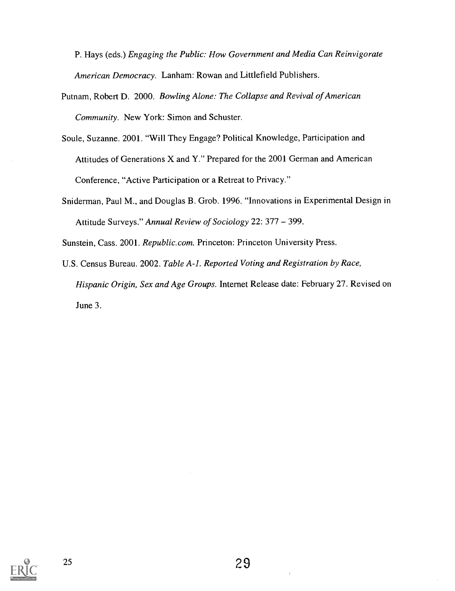P. Hays (eds.) Engaging the Public: How Government and Media Can Reinvigorate American Democracy. Lanham: Rowan and Littlefield Publishers.

- Putnam, Robert D. 2000. Bowling Alone: The Collapse and Revival of American Community. New York: Simon and Schuster.
- Soule, Suzanne. 2001. "Will They Engage? Political Knowledge, Participation and Attitudes of Generations X and Y." Prepared for the 2001 German and American Conference, "Active Participation or a Retreat to Privacy."
- Sniderman, Paul M., and Douglas B. Grob. 1996. "Innovations in Experimental Design in Attitude Surveys." Annual Review of Sociology 22: 377 – 399.

Sunstein, Cass. 2001. Republic.com. Princeton: Princeton University Press.

U.S. Census Bureau. 2002. Table A-1. Reported Voting and Registration by Race, Hispanic Origin, Sex and Age Groups. Internet Release date: February 27. Revised on June 3.

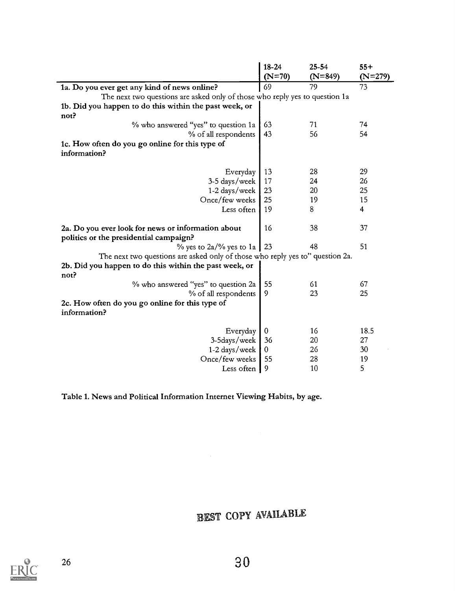|                                                                               | 18-24<br>$(N=70)$ | $25 - 54$<br>$(N=849)$ | $55+$<br>$(N=279)$ |
|-------------------------------------------------------------------------------|-------------------|------------------------|--------------------|
| 1a. Do you ever get any kind of news online?                                  | 69                | 79                     | 73                 |
| The next two questions are asked only of those who reply yes to question 1a   |                   |                        |                    |
| 1b. Did you happen to do this within the past week, or                        |                   |                        |                    |
| not?                                                                          |                   |                        |                    |
| % who answered "yes" to question 1a                                           | 63                | 71                     | 74                 |
| % of all respondents                                                          | 43                | 56                     | 54                 |
| 1c. How often do you go online for this type of                               |                   |                        |                    |
| information?                                                                  |                   |                        |                    |
|                                                                               |                   |                        |                    |
| Everyday                                                                      | 13                | 28                     | 29                 |
| 3-5 days/week                                                                 | 17                | 24                     | 26                 |
| 1-2 days/week                                                                 | 23                | 20                     | 25                 |
| Once/few weeks                                                                | 25                | 19                     | 15                 |
| Less often                                                                    | 19                | 8                      | 4                  |
|                                                                               |                   |                        |                    |
| 2a. Do you ever look for news or information about                            | 16                | 38                     | 37                 |
| politics or the presidential campaign?                                        |                   |                        |                    |
| $\%$ yes to 2a/% yes to 1a                                                    | 23                | 48                     | 51                 |
| The next two questions are asked only of those who reply yes to" question 2a. |                   |                        |                    |
| 2b. Did you happen to do this within the past week, or<br>not?                |                   |                        |                    |
| % who answered "yes" to question 2a                                           | 55                | 61                     | 67                 |
| % of all respondents                                                          | 9                 | 23                     | 25                 |
| 2c. How often do you go online for this type of<br>information?               |                   |                        |                    |
|                                                                               |                   |                        |                    |
| Everyday                                                                      | 0                 | 16                     | 18.5               |
| 3-5days/week                                                                  | 36                | 20                     | 27                 |
| 1-2 days/week                                                                 | 0                 | 26                     | 30                 |
| Once/few weeks                                                                | 55                | 28                     | 19                 |
| Less often                                                                    | 9                 | 10                     | 5                  |

Table 1. News and Political Information Internet Viewing Habits, by age.

## BEST COPY AVAILABLE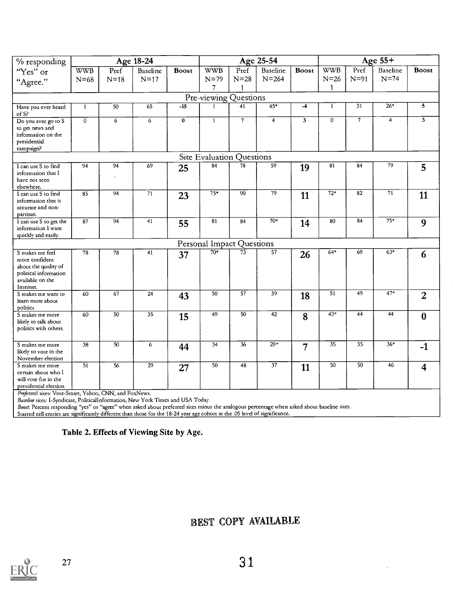| % responding                                                                                                        |                 |                 | Age 18-24       |                         |                           |                 | Age 25-54       |              |                  |                 | Age 55+         |                         |
|---------------------------------------------------------------------------------------------------------------------|-----------------|-----------------|-----------------|-------------------------|---------------------------|-----------------|-----------------|--------------|------------------|-----------------|-----------------|-------------------------|
| "Yes" or                                                                                                            | <b>WWB</b>      | Pref            | <b>Baseline</b> | <b>Boost</b>            | <b>WWB</b>                | Pref            | <b>Baseline</b> | <b>Boost</b> | <b>WWB</b>       | Pref            | <b>Baseline</b> | <b>Boost</b>            |
| "Agree."                                                                                                            | $N = 68$        | $N=18$          | $N=17$          |                         | $N=79$                    | $N=28$          | $N = 264$       |              | $N=26$           | $N=91$          | $N=74$          |                         |
|                                                                                                                     |                 |                 |                 |                         | $\overline{7}$            | 1               |                 |              | 1                |                 |                 |                         |
| Pre-viewing Questions                                                                                               |                 |                 |                 |                         |                           |                 |                 |              |                  |                 |                 |                         |
| Have you ever heard<br>of S?                                                                                        | $\mathbf{1}$    | 50              | 65              | $-15$                   | 1                         | 41              | $45*$           | $-4$         | $\mathbf{1}$     | 31              | $26*$           | $\overline{\mathbf{5}}$ |
| Do you ever go to S<br>to get news and<br>information on the<br>presidential<br>campaign?                           | $\overline{0}$  | $\overline{6}$  | 6               | $\overline{\mathbf{0}}$ | $\overline{1}$            | $\overline{7}$  | $\overline{4}$  | 3            | $\overline{0}$   | $\overline{7}$  | $\overline{4}$  | $\overline{\mathbf{3}}$ |
|                                                                                                                     |                 |                 |                 |                         | Site Evaluation Questions |                 |                 |              |                  |                 |                 |                         |
| I can use S to find<br>information that I<br>have not seen<br>elsewhere.                                            | 94              | 94              | 69              | 25                      | 84                        | 78              | 59              | 19           | 81               | 84              | 79              | 5                       |
| I can use S to find<br>information that is<br>accurate and non-<br>partisan.                                        | 85              | $\overline{94}$ | $\overline{71}$ | 23                      | $75*$                     | 90              | 79              | 11           | $\overline{72*}$ | $\overline{82}$ | $\overline{71}$ | 11                      |
| I can use S to get the<br>information I want<br>quickly and easily.                                                 | 87              | $\overline{94}$ | $\overline{41}$ | 55                      | 81                        | 84              | $70*$           | 14           | 80               | $\overline{84}$ | $75*$           | 9                       |
|                                                                                                                     |                 |                 |                 |                         | Personal Impact Questions |                 |                 |              |                  |                 |                 |                         |
| S makes me feel<br>more confident<br>about the quality of<br>political information<br>available on the<br>Internet. | 78              | 78              | 41              | 37                      | $70*$                     | $\overline{73}$ | 57              | 26           | $64*$            | 69              | $63*$           | 6                       |
| S makes me want to<br>learn more about<br>politics                                                                  | 60              | 67              | $\overline{24}$ | 43                      | 50                        | $\overline{57}$ | $\overline{39}$ | 18           | $\overline{51}$  | 49              | $47*$           | $\overline{2}$          |
| S makes me more<br>likely to talk about<br>politics with others.                                                    | 60              | $\overline{50}$ | $\overline{35}$ | 15                      | $\overline{49}$           | 50              | $\overline{42}$ | 8            | $\frac{43*}{ }$  | $\overline{44}$ | 44              | $\bf{0}$                |
| S makes me more<br>likely to vote in the<br>November election                                                       | 38              | 50              | 6               | 44                      | 34                        | $\overline{36}$ | $29*$           | 7            | $\overline{35}$  | 35              | $36*$           | $-1$                    |
| S makes me more<br>certain about who I<br>will vote for in the<br>presidential election.                            | $\overline{51}$ | 56              | $\overline{29}$ | 27                      | 50                        | 48              | $\overline{37}$ | 11           | 50               | 50              | 46              | $\overline{\mathbf{4}}$ |

Preferred sites: Vote-Smart, Yahoo, CNN, and FoxNews.

Baseline sites: I-Syndicate, Politicallnformation, New York Times and USA Today.

Boost. Percent responding "yes" or "agree" when asked about preferred sites minus the analogous percentage when asked about baseline sites.

Starred cell entries are significantly different than those for the 18-24 year age cohort at the .05 level of significance.

#### Table 2. Effects of Viewing Site by Age.

## BEST COPY AVAILABLE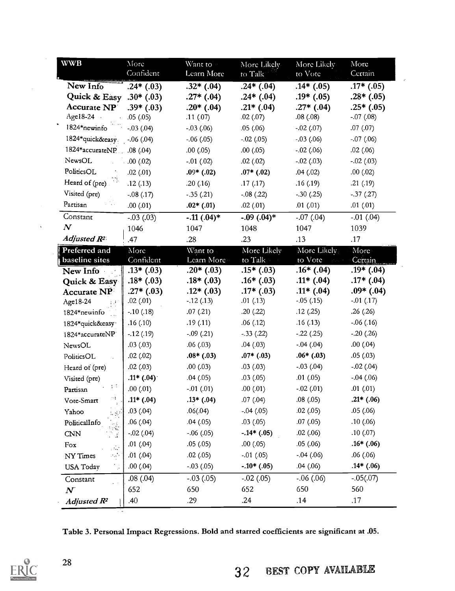| <b>WWB</b>                                      | More<br>Confident | Want to                    | More Likely                | More Likely                      | More                       |
|-------------------------------------------------|-------------------|----------------------------|----------------------------|----------------------------------|----------------------------|
|                                                 |                   | Learn More                 | to Talk                    | to Vote                          | Certain                    |
| New Info                                        | $.24*(.03)$       | $.32*(.04)$                | $.24*(.04)$                | $.14*(.05)$                      | $.17*$ $(.05)$             |
| Quick & Easy .30* $(.03)$<br><b>Accurate NP</b> | $.39*(.03)$       | $.27*(.04)$<br>$.20*(.04)$ | $.24*(.04)$<br>$.21*(.04)$ | $.19*$ $(.05)$<br>$.27*$ $(.04)$ | $.28*(.05)$<br>$.25*(.05)$ |
| Age18-24                                        | .05(0.05)         | .11(07)                    | .02(0.07)                  | .08(.08)                         | $-.07(.08)$                |
| 1824*newinfo                                    | $-.03(.04)$       | $-.03(.06)$                | .05(0.06)                  | $-.02(.07)$                      | .07(0.07)                  |
| 1824*quick&easy                                 | $-.06(.04)$       | $-.06(.05)$                | $-.02(.05)$                | $-.03(.06)$                      | $-.07(.06)$                |
| 1824*accurateNP. 08 (.04)                       |                   | .00(0.05)                  | .00(0.05)                  | $-.02(.06)$                      | .02(.06)                   |
| NewsOL                                          | 00(02)            | $-.01(.02)$                | .02(0.02)                  | $-.02(.03)$                      | $-.02(.03)$                |
| PoliticsOL                                      | .02(0.01)         | $.09*(.02)$                | $.07*$ $(.02)$             | .04(.02)                         | .00(0.02)                  |
| Heard of (pre)                                  | .12(.13)          | .20(.16)                   | .17(.17)                   | .16(.19)                         | .21(.19)                   |
| Visited (pre)                                   | $-.08(.17)$       | $-35(0.21)$                | $-08(0.22)$                | $-.30(.25)$                      | $-.37(.27)$                |
| Partisan                                        | .00(0.01)         | $.02*(.01)$                | .02(0.01)                  | .01(.01)                         | .01(0.01)                  |
| Constant                                        | $-.03$ $(.03)$    | $-.11(.04)*$               | $-.09(.04)*$               | $-.07(.04)$                      | $-.01$ $(.04)$             |
| $\boldsymbol{N}$                                | 1046              | 1047                       | 1048                       | 1047                             | 1039                       |
| Adjusted R <sup>2</sup>                         | .47               | .28                        | .23                        | .13                              | .17                        |
| Preferred and                                   | More              | Want to                    | More Likely                | More Likelv.                     | More                       |
| baseline sites                                  | Confident         | Learn More                 | to Talk                    | to Vote                          | Certain                    |
| New Info                                        | $.13*(.03)$       | $.20*(.03)$                | $.15*(.03)$                | $.16*(.04)$                      | $.19*(.04)$                |
| Quick & Easy                                    | $.18*(.03)$       | $.18*(.03)$                | $.16*(.03)$                | $.11*$ (.04)                     | $.17*$ $(.04)$             |
| <b>Accurate NP</b>                              | $.27*(.03)$       | $.12*(.03)$                | $.17*$ $(.03)$             | $.11*$ (.04)                     | $.09*$ (.04)               |
| Age18-24                                        | .02(01)           | $-0.12(0.13)$              | .01(.13)                   | $-.05(.15)$                      | $-.01(0.17)$               |
| 1824*newinfo                                    | $-.10(.18)$       | .07(.21)                   | .20(.22)                   | .12(.25)                         | .26(.26)                   |
| 1824*quick&easy                                 | .16(.10)          | .19(.11)                   | .06(.12)                   | .16(.13)                         | $-.06(.16)$                |
| 1824*accurateNP                                 | $-0.12(0.19)$     | $-.09(.21)$                | $-.33(.22)$                | $-.22(.25)$                      | $-.20(.26)$                |
| NewsOL                                          | .03(0.03)         | .06(03)                    | .04(03)                    | $-.04(.04)$                      | .00(0.04)                  |
| PoliticsOL                                      | .02(.02)          | $.08*(.03)$                | $.07*(.03)$                | $.06*$ $(.03)$                   | .05(0.03)                  |
| Heard of (pre)                                  | .02(0.03)         | .00(0.03)                  | .03(0.03)                  | $-.03(.04)$                      | $-.02(.04)$                |
| Visited (pre)                                   | $.11*(.04)$       | .04(.05)                   | .03(0.05)                  | .01(.05)                         | $-0.04$ $(0.06)$           |
| 法院<br>Partisan                                  | .00(0.01)         | $-.01(.01)$                | .00(0.01)                  | $-.02(.01)$                      | .01(01)                    |
| ną.<br>Vote-Smart                               | $.11*(.04)$       | $.13*(.04)$                | .07(04)                    | .08(.05)                         | $.21*(.06)$                |
| Yahoo                                           | .03(04)           | .06(.04)                   | $-0.04$ $(0.05)$           | .02(.05)                         | .05(.06)                   |
| PoliticalInfo                                   | .06(0.04)         | .04(05)                    | .03(0.05)                  | .07(0.05)                        | .10(0.06)                  |
| CNN<br>$\frac{1}{\sqrt{2}}$                     | $-.02(.04)$       | $-.06(.05)$                | $-.14*(.05)$               | .02(.06)                         | .10(07)                    |
| Fox<br>$\mathcal{L}_{\mathcal{G}}$              | $.01$ $(.04)$     | .05(0.05)                  | .00(0.05)                  | .05(0.06)                        | $.16*(.06)$                |
| $\mathcal{L}_{\text{eff}}$<br>NY Times          | .01(0.04)         | .02(0.05)                  | $-.01$ $(.05)$             | $-0.04$ $(0.06)$                 | .06(.06)                   |
| <b>USA</b> Today                                | .00(0.04)         | $-.03(.05)$                | $-.10*(.05)$               | .04(.06)                         | $.14*(.06)$                |
| Constant                                        | .08(.04)          | $-.03(.05)$                | $-.02(.05)$                | $-.06(.06)$                      | $-.05(.07)$                |
| $\boldsymbol{N}$                                | 652               | 650                        | 652                        | 650                              | 560                        |
| Adjusted R <sup>2</sup>                         | .40               | .29                        | .24                        | .14                              | .17                        |

Table 3. Personal Impact Regressions. Bold and starred coefficients are significant at .05.



 $\sim$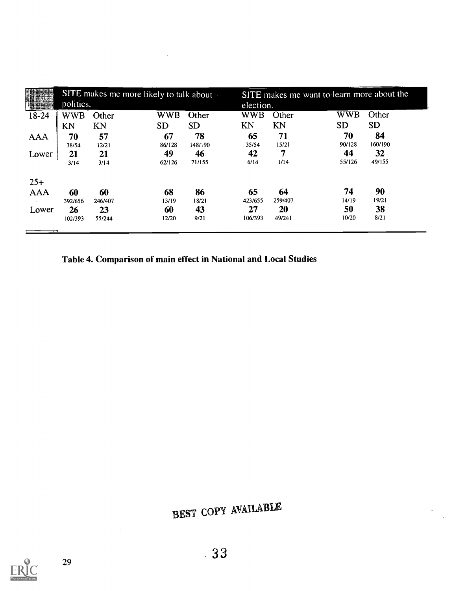|            |           |         | SITE makes me more likely to talk about |           |           | SITE makes me want to learn more about the |            |           |  |  |  |
|------------|-----------|---------|-----------------------------------------|-----------|-----------|--------------------------------------------|------------|-----------|--|--|--|
|            | politics. |         |                                         |           | election. |                                            |            |           |  |  |  |
| $18-24$    | WWB       | Other   | <b>WWB</b>                              | Other     | WWB       | Other                                      | <b>WWB</b> | Other     |  |  |  |
|            | KN        | KN      | <b>SD</b>                               | <b>SD</b> | ΚN        | KN                                         | <b>SD</b>  | <b>SD</b> |  |  |  |
| <b>AAA</b> | 70        | 57      | 67                                      | 78        | 65        | 71                                         | 70         | 84        |  |  |  |
|            | 38/54     | 12/21   | 86/128                                  | 148/190   | 35/54     | 15/21                                      | 90/128     | 160/190   |  |  |  |
| Lower      | 21        | 21      | 49                                      | 46        | 42        | 7                                          | 44         | 32        |  |  |  |
|            | 3/14      | 3/14    | 62/126                                  | 71/155    | 6/14      | 1/14                                       | 55/126     | 49/155    |  |  |  |
| $25+$      |           |         |                                         |           |           |                                            |            |           |  |  |  |
| <b>AAA</b> | 60        | 60      | 68                                      | 86        | 65        | 64                                         | 74         | 90        |  |  |  |
|            | 392/656   | 246/407 | 13/19                                   | 18/21     | 423/655   | 259/407                                    | 14/19      | 19/21     |  |  |  |
| Lower      | 26        | 23      | 60                                      | 43        | 27        | 20                                         | 50         | 38        |  |  |  |
|            | 102/393   | 55/244  | 12/20                                   | 9/21      | 106/393   | 49/241                                     | 10/20      | 8/21      |  |  |  |
|            |           |         |                                         |           |           |                                            |            |           |  |  |  |

Table 4. Comparison of main effect in National and Local Studies

BEST COPY AVAILABLE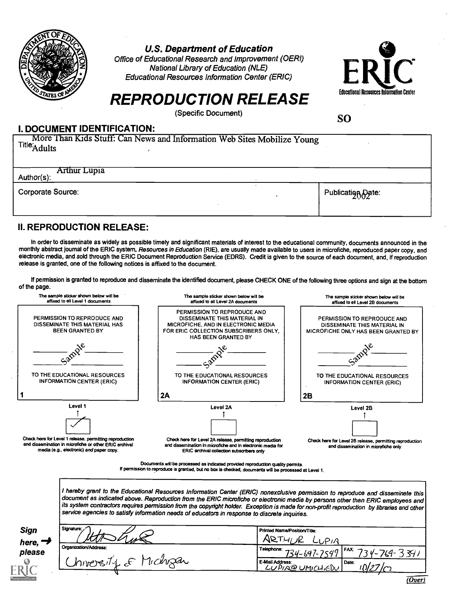

#### U.S. Department of Education

Office of Educational Research and Improvement (OERI) National Library of Education (NLE) Educational Resources Information Center (ERIC)



## REPRODUCTION RELEASE

(Specific Document)

SO

#### I. DOCUMENT IDENTIFICATION:

More Than Kids Stuff: Can News and Information Web Sites Mobilize Young<br>Title<sub>'A dults</sub>

Arthur Lupia

Corporate Source: Publication Corporate Source: Publication Corporate Source:

#### II. REPRODUCTION RELEASE:

In order to disseminate as widely as possible timely and significant materials of interest to the educational community, documents announced in the monthly abstract journal of the ERIC system, Resources in Education (RIE), are usually made available to users in microfiche, reproduced paper copy, and electronic media, and sold through the ERIC Document Reproduction Service (EDRS). Credit is given to the source of each document, and, if reproduction release is granted, one of the following notices is affixed to the document.

If permission is granted to reproduce and disseminate the identified document, please CHECK ONE of the following three options and sign at the bottom of the page.



Documents will be processed as indicated provided reproduction quality permits. If permission to reproduce is granted, but no box is checked, documents will be processed at Level 1.

I hereby grant to the Educational Resources Information Center (ERIC) nonexclusive permission to reproduce and disseminate this document as indicated above. Reproduction from the ERIC microfiche or electronic media by persons other than ERIC employees and its system contractors requires permission from the copyright holder. Exception is made for non-profit reproduction by libraries and other<br>service agencies to satisfy information needs of educators in response to discrete

| <b>Sign</b><br>here, | Signature:            | Printed Name/Position/Title:<br>דכוא               |
|----------------------|-----------------------|----------------------------------------------------|
| please               | Organization/Address: | Telephone: ___<br>$34-647-7549$ FAX 734-764-321    |
|                      | Vichigan<br>hiversik  | E-Mail Address:<br>Date:<br><u>LUPIA@UMICHIEDU</u> |